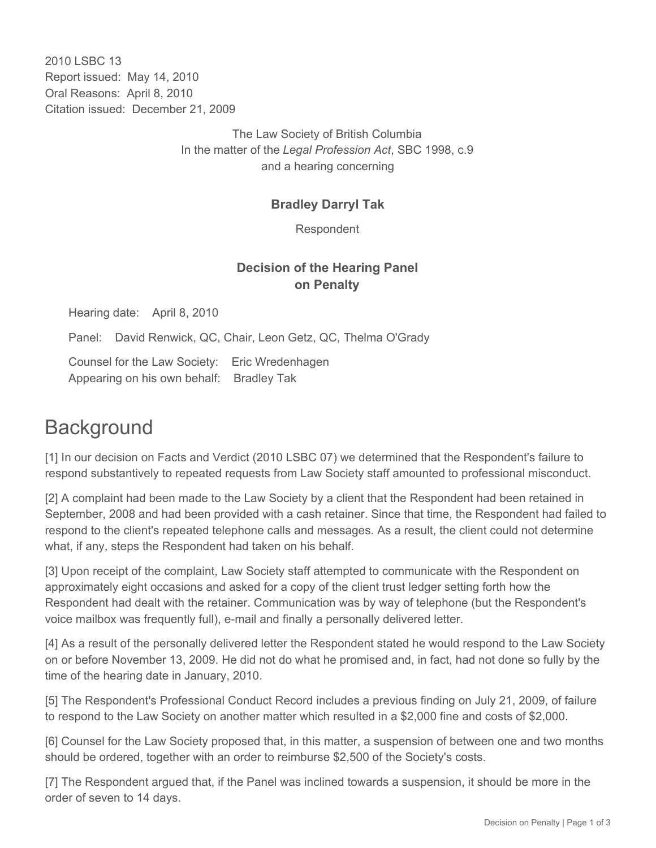2010 LSBC 13 Report issued: May 14, 2010 Oral Reasons: April 8, 2010 Citation issued: December 21, 2009

> The Law Society of British Columbia In the matter of the *Legal Profession Act*, SBC 1998, c.9 and a hearing concerning

#### **Bradley Darryl Tak**

Respondent

## **Decision of the Hearing Panel on Penalty**

Hearing date: April 8, 2010

Panel: David Renwick, QC, Chair, Leon Getz, QC, Thelma O'Grady

Counsel for the Law Society: Eric Wredenhagen Appearing on his own behalf: Bradley Tak

# **Background**

[1] In our decision on Facts and Verdict (2010 LSBC 07) we determined that the Respondent's failure to respond substantively to repeated requests from Law Society staff amounted to professional misconduct.

[2] A complaint had been made to the Law Society by a client that the Respondent had been retained in September, 2008 and had been provided with a cash retainer. Since that time, the Respondent had failed to respond to the client's repeated telephone calls and messages. As a result, the client could not determine what, if any, steps the Respondent had taken on his behalf.

[3] Upon receipt of the complaint, Law Society staff attempted to communicate with the Respondent on approximately eight occasions and asked for a copy of the client trust ledger setting forth how the Respondent had dealt with the retainer. Communication was by way of telephone (but the Respondent's voice mailbox was frequently full), e-mail and finally a personally delivered letter.

[4] As a result of the personally delivered letter the Respondent stated he would respond to the Law Society on or before November 13, 2009. He did not do what he promised and, in fact, had not done so fully by the time of the hearing date in January, 2010.

[5] The Respondent's Professional Conduct Record includes a previous finding on July 21, 2009, of failure to respond to the Law Society on another matter which resulted in a \$2,000 fine and costs of \$2,000.

[6] Counsel for the Law Society proposed that, in this matter, a suspension of between one and two months should be ordered, together with an order to reimburse \$2,500 of the Society's costs.

[7] The Respondent argued that, if the Panel was inclined towards a suspension, it should be more in the order of seven to 14 days.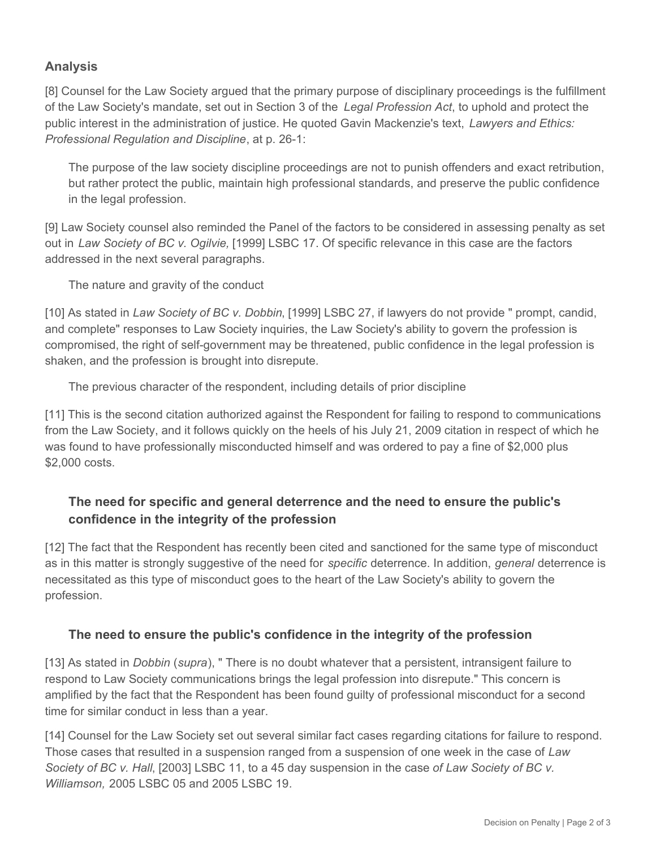## **Analysis**

[8] Counsel for the Law Society argued that the primary purpose of disciplinary proceedings is the fulfillment of the Law Society's mandate, set out in Section 3 of the *Legal Profession Act*, to uphold and protect the public interest in the administration of justice. He quoted Gavin Mackenzie's text, *Lawyers and Ethics: Professional Regulation and Discipline*, at p. 26-1:

The purpose of the law society discipline proceedings are not to punish offenders and exact retribution, but rather protect the public, maintain high professional standards, and preserve the public confidence in the legal profession.

[9] Law Society counsel also reminded the Panel of the factors to be considered in assessing penalty as set out in *Law Society of BC v. Ogilvie,* [1999] LSBC 17. Of specific relevance in this case are the factors addressed in the next several paragraphs.

The nature and gravity of the conduct

[10] As stated in *Law Society of BC v. Dobbin*, [1999] LSBC 27, if lawyers do not provide " prompt, candid, and complete" responses to Law Society inquiries, the Law Society's ability to govern the profession is compromised, the right of self-government may be threatened, public confidence in the legal profession is shaken, and the profession is brought into disrepute.

The previous character of the respondent, including details of prior discipline

[11] This is the second citation authorized against the Respondent for failing to respond to communications from the Law Society, and it follows quickly on the heels of his July 21, 2009 citation in respect of which he was found to have professionally misconducted himself and was ordered to pay a fine of \$2,000 plus \$2,000 costs.

### **The need for specific and general deterrence and the need to ensure the public's confidence in the integrity of the profession**

[12] The fact that the Respondent has recently been cited and sanctioned for the same type of misconduct as in this matter is strongly suggestive of the need for *specific* deterrence. In addition, *general* deterrence is necessitated as this type of misconduct goes to the heart of the Law Society's ability to govern the profession.

#### **The need to ensure the public's confidence in the integrity of the profession**

[13] As stated in *Dobbin* (*supra*), " There is no doubt whatever that a persistent, intransigent failure to respond to Law Society communications brings the legal profession into disrepute." This concern is amplified by the fact that the Respondent has been found guilty of professional misconduct for a second time for similar conduct in less than a year.

[14] Counsel for the Law Society set out several similar fact cases regarding citations for failure to respond. Those cases that resulted in a suspension ranged from a suspension of one week in the case of *Law Society of BC v. Hall*, [2003] LSBC 11, to a 45 day suspension in the case *of Law Society of BC v. Williamson,* 2005 LSBC 05 and 2005 LSBC 19*.*